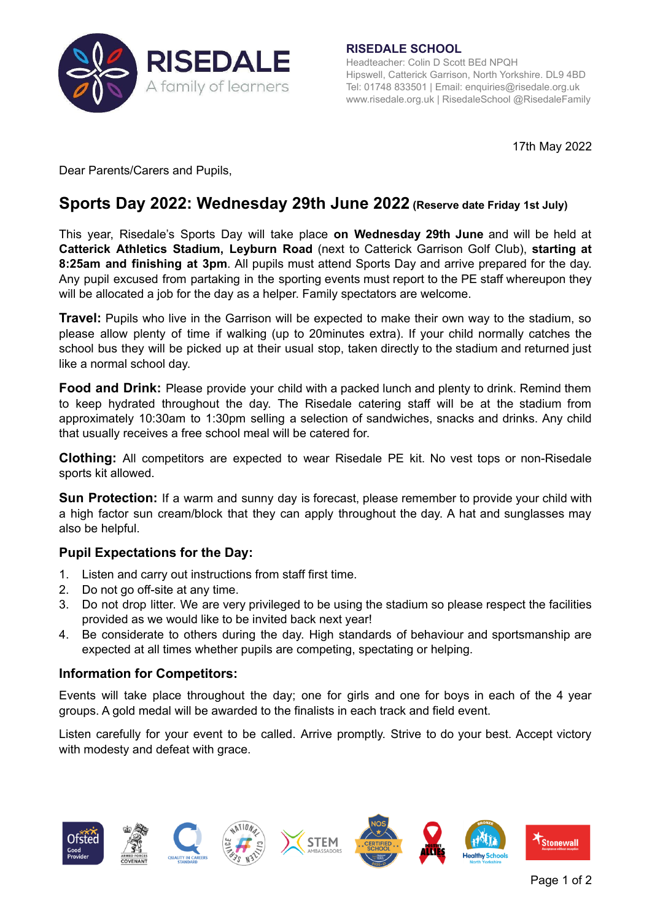

**RISEDALE SCHOOL** Headteacher: Colin D Scott BEd NPQH Hipswell, Catterick Garrison, North Yorkshire. DL9 4BD Tel: 01748 833501 | Email: [enquiries@risedale.org.uk](mailto:enquiries@risedale.org.uk) [www.risedale.org.uk](http://www.risedale.org.uk) | RisedaleSchool @RisedaleFamily

17th May 2022

Dear Parents/Carers and Pupils,

# **Sports Day 2022: Wednesday 29th June 2022 (Reserve date Friday 1st July)**

This year, Risedale's Sports Day will take place **on Wednesday 29th June** and will be held at **Catterick Athletics Stadium, Leyburn Road** (next to Catterick Garrison Golf Club), **starting at 8:25am and finishing at 3pm**. All pupils must attend Sports Day and arrive prepared for the day. Any pupil excused from partaking in the sporting events must report to the PE staff whereupon they will be allocated a job for the day as a helper. Family spectators are welcome.

**Travel:** Pupils who live in the Garrison will be expected to make their own way to the stadium, so please allow plenty of time if walking (up to 20minutes extra). If your child normally catches the school bus they will be picked up at their usual stop, taken directly to the stadium and returned just like a normal school day.

**Food and Drink:** Please provide your child with a packed lunch and plenty to drink. Remind them to keep hydrated throughout the day. The Risedale catering staff will be at the stadium from approximately 10:30am to 1:30pm selling a selection of sandwiches, snacks and drinks. Any child that usually receives a free school meal will be catered for.

**Clothing:** All competitors are expected to wear Risedale PE kit. No vest tops or non-Risedale sports kit allowed.

**Sun Protection:** If a warm and sunny day is forecast, please remember to provide your child with a high factor sun cream/block that they can apply throughout the day. A hat and sunglasses may also be helpful.

# **Pupil Expectations for the Day:**

- 1. Listen and carry out instructions from staff first time.
- 2. Do not go off-site at any time.
- 3. Do not drop litter. We are very privileged to be using the stadium so please respect the facilities provided as we would like to be invited back next year!
- 4. Be considerate to others during the day. High standards of behaviour and sportsmanship are expected at all times whether pupils are competing, spectating or helping.

# **Information for Competitors:**

Events will take place throughout the day; one for girls and one for boys in each of the 4 year groups. A gold medal will be awarded to the finalists in each track and field event.

Listen carefully for your event to be called. Arrive promptly. Strive to do your best. Accept victory with modesty and defeat with grace.